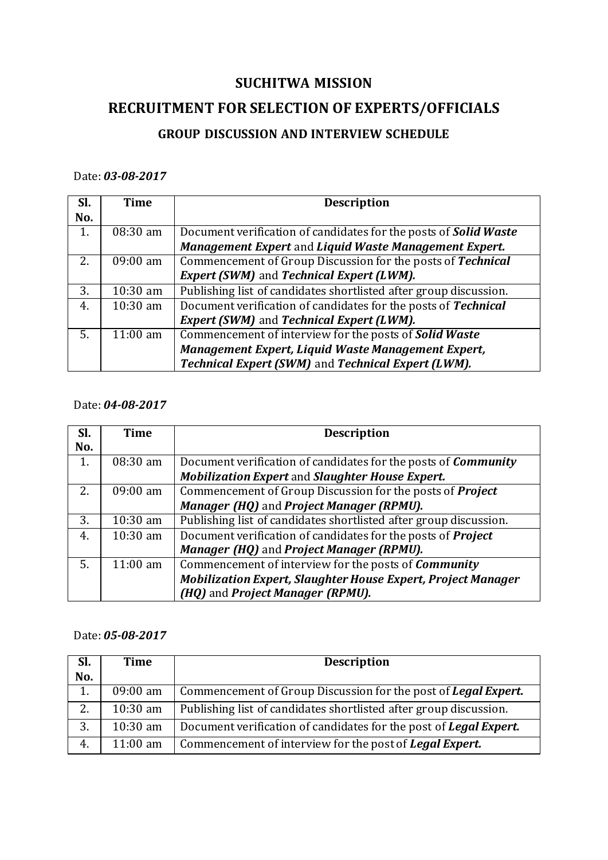## **SUCHITWA MISSION**

# **RECRUITMENT FOR SELECTION OF EXPERTS/OFFICIALS**

## **GROUP DISCUSSION AND INTERVIEW SCHEDULE**

### Date: *03-08-2017*

| SI. | Time               | <b>Description</b>                                                      |  |
|-----|--------------------|-------------------------------------------------------------------------|--|
| No. |                    |                                                                         |  |
| 1.  | 08:30 am           | Document verification of candidates for the posts of <b>Solid Waste</b> |  |
|     |                    | Management Expert and Liquid Waste Management Expert.                   |  |
| 2.  | $09:00 \text{ am}$ | Commencement of Group Discussion for the posts of Technical             |  |
|     |                    | <b>Expert (SWM)</b> and <b>Technical Expert (LWM)</b> .                 |  |
| 3.  | $10:30$ am         | Publishing list of candidates shortlisted after group discussion.       |  |
| 4.  | $10:30$ am         | Document verification of candidates for the posts of Technical          |  |
|     |                    | <b>Expert (SWM) and Technical Expert (LWM).</b>                         |  |
| .5. | $11:00$ am         | Commencement of interview for the posts of <b>Solid Waste</b>           |  |
|     |                    | Management Expert, Liquid Waste Management Expert,                      |  |
|     |                    | Technical Expert (SWM) and Technical Expert (LWM).                      |  |

### Date: *04-08-2017*

| Sl. | <b>Time</b> | <b>Description</b>                                                    |
|-----|-------------|-----------------------------------------------------------------------|
| No. |             |                                                                       |
|     | 08:30 am    | Document verification of candidates for the posts of <b>Community</b> |
|     |             | <b>Mobilization Expert and Slaughter House Expert.</b>                |
| 2.  | $09:00$ am  | Commencement of Group Discussion for the posts of <i>Project</i>      |
|     |             | Manager (HQ) and Project Manager (RPMU).                              |
| 3.  | $10:30$ am  | Publishing list of candidates shortlisted after group discussion.     |
| 4.  | $10:30$ am  | Document verification of candidates for the posts of <b>Project</b>   |
|     |             | Manager (HQ) and Project Manager (RPMU).                              |
| .5. | $11:00$ am  | Commencement of interview for the posts of <i>Community</i>           |
|     |             | <b>Mobilization Expert, Slaughter House Expert, Project Manager</b>   |
|     |             | (HQ) and Project Manager (RPMU).                                      |

### Date: *05-08-2017*

| SI. | <b>Time</b>        | <b>Description</b>                                                       |
|-----|--------------------|--------------------------------------------------------------------------|
| No. |                    |                                                                          |
| 1.  | $09:00 \text{ am}$ | Commencement of Group Discussion for the post of Legal Expert.           |
| 2.  | $10:30$ am         | Publishing list of candidates shortlisted after group discussion.        |
| 3.  | $10:30$ am         | Document verification of candidates for the post of <b>Legal Expert.</b> |
| 4.  | $11:00 \text{ am}$ | Commencement of interview for the post of Legal Expert.                  |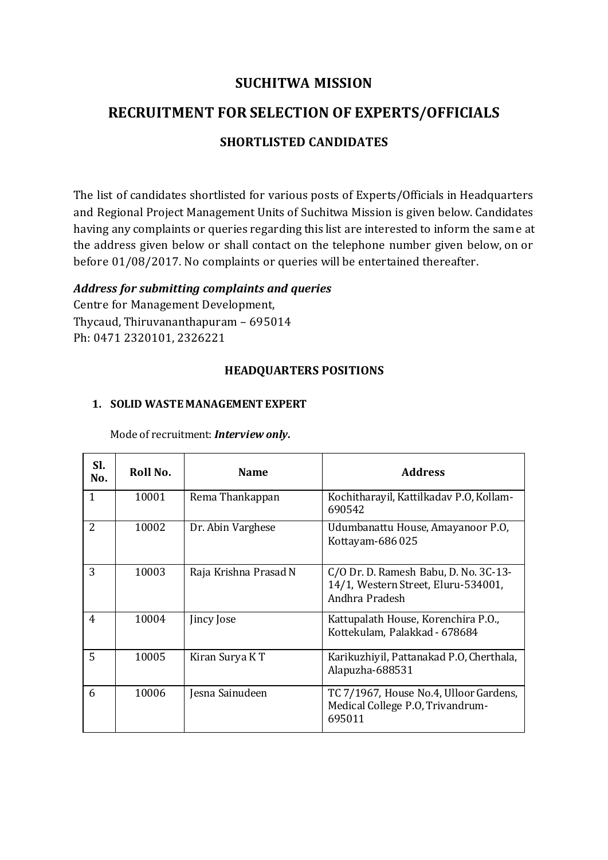### **SUCHITWA MISSION**

# **RECRUITMENT FOR SELECTION OF EXPERTS/OFFICIALS**

### **SHORTLISTED CANDIDATES**

The list of candidates shortlisted for various posts of Experts/Officials in Headquarters and Regional Project Management Units of Suchitwa Mission is given below. Candidates having any complaints or queries regarding this list are interested to inform the same at the address given below or shall contact on the telephone number given below, on or before 01/08/2017. No complaints or queries will be entertained thereafter.

#### *Address for submitting complaints and queries*

Centre for Management Development, Thycaud, Thiruvananthapuram – 695014 Ph: 0471 2320101, 2326221

#### **HEADQUARTERS POSITIONS**

#### **1. SOLID WASTE MANAGEMENT EXPERT**

| SI.<br>No.   | Roll No. | <b>Name</b>           | <b>Address</b>                                                                                 |
|--------------|----------|-----------------------|------------------------------------------------------------------------------------------------|
| $\mathbf{1}$ | 10001    | Rema Thankappan       | Kochitharayil, Kattilkadav P.O, Kollam-<br>690542                                              |
| 2            | 10002    | Dr. Abin Varghese     | Udumbanattu House, Amayanoor P.O.<br>Kottayam-686025                                           |
| 3            | 10003    | Raja Krishna Prasad N | C/O Dr. D. Ramesh Babu, D. No. 3C-13-<br>14/1, Western Street, Eluru-534001,<br>Andhra Pradesh |
| 4            | 10004    | Jincy Jose            | Kattupalath House, Korenchira P.O.,<br>Kottekulam, Palakkad - 678684                           |
| 5            | 10005    | Kiran Surya K T       | Karikuzhiyil, Pattanakad P.O, Cherthala,<br>Alapuzha-688531                                    |
| 6            | 10006    | esna Sainudeen        | TC 7/1967, House No.4, Ulloor Gardens,<br>Medical College P.O. Trivandrum-<br>695011           |

Mode of recruitment: *Interview only.*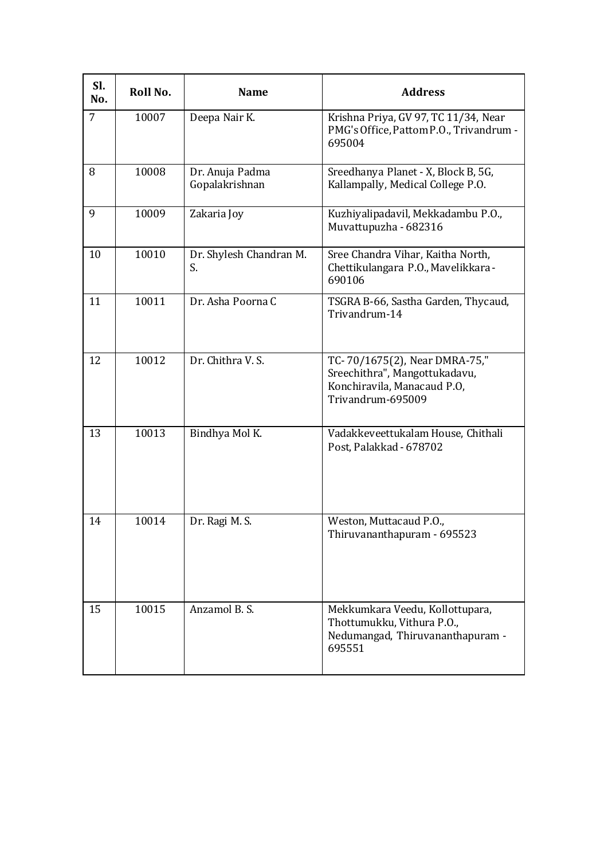| Sl.<br>No. | Roll No. | <b>Name</b>                       | <b>Address</b>                                                                                                     |
|------------|----------|-----------------------------------|--------------------------------------------------------------------------------------------------------------------|
| 7          | 10007    | Deepa Nair K.                     | Krishna Priya, GV 97, TC 11/34, Near<br>PMG's Office, Pattom P.O., Trivandrum -<br>695004                          |
| 8          | 10008    | Dr. Anuja Padma<br>Gopalakrishnan | Sreedhanya Planet - X, Block B, 5G,<br>Kallampally, Medical College P.O.                                           |
| 9          | 10009    | Zakaria Joy                       | Kuzhiyalipadavil, Mekkadambu P.O.,<br>Muvattupuzha - 682316                                                        |
| 10         | 10010    | Dr. Shylesh Chandran M.<br>S.     | Sree Chandra Vihar, Kaitha North,<br>Chettikulangara P.O., Mavelikkara -<br>690106                                 |
| 11         | 10011    | Dr. Asha Poorna C                 | TSGRA B-66, Sastha Garden, Thycaud,<br>Trivandrum-14                                                               |
| 12         | 10012    | Dr. Chithra V. S.                 | TC-70/1675(2), Near DMRA-75,"<br>Sreechithra", Mangottukadavu,<br>Konchiravila, Manacaud P.O,<br>Trivandrum-695009 |
| 13         | 10013    | Bindhya Mol K.                    | Vadakkeveettukalam House, Chithali<br>Post, Palakkad - 678702                                                      |
| 14         | 10014    | Dr. Ragi M. S.                    | Weston, Muttacaud P.O.,<br>Thiruvananthapuram - 695523                                                             |
| 15         | 10015    | Anzamol B. S.                     | Mekkumkara Veedu, Kollottupara,<br>Thottumukku, Vithura P.O.,<br>Nedumangad, Thiruvananthapuram -<br>695551        |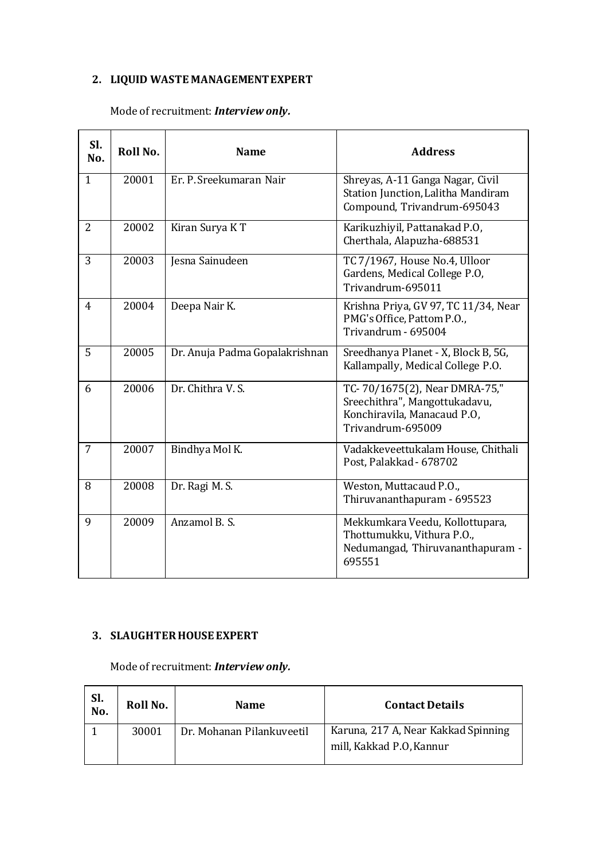## **2. LIQUID WASTE MANAGEMENT EXPERT**

### Mode of recruitment: *Interview only.*

| SI.<br>No.   | Roll No. | <b>Name</b>                    | <b>Address</b>                                                                                                     |
|--------------|----------|--------------------------------|--------------------------------------------------------------------------------------------------------------------|
| $\mathbf{1}$ | 20001    | Er. P. Sreekumaran Nair        | Shreyas, A-11 Ganga Nagar, Civil<br><b>Station Junction, Lalitha Mandiram</b><br>Compound, Trivandrum-695043       |
| 2            | 20002    | Kiran Surya KT                 | Karikuzhiyil, Pattanakad P.O,<br>Cherthala, Alapuzha-688531                                                        |
| 3            | 20003    | Jesna Sainudeen                | TC 7/1967, House No.4, Ulloor<br>Gardens, Medical College P.O,<br>Trivandrum-695011                                |
| 4            | 20004    | Deepa Nair K.                  | Krishna Priya, GV 97, TC 11/34, Near<br>PMG's Office, Pattom P.O.,<br>Trivandrum - 695004                          |
| 5            | 20005    | Dr. Anuja Padma Gopalakrishnan | Sreedhanya Planet - X, Block B, 5G,<br>Kallampally, Medical College P.O.                                           |
| 6            | 20006    | Dr. Chithra V. S.              | TC-70/1675(2), Near DMRA-75,"<br>Sreechithra", Mangottukadavu,<br>Konchiravila, Manacaud P.O,<br>Trivandrum-695009 |
| 7            | 20007    | Bindhya Mol K.                 | Vadakkeveettukalam House, Chithali<br>Post, Palakkad - 678702                                                      |
| 8            | 20008    | Dr. Ragi M. S.                 | Weston, Muttacaud P.O.,<br>Thiruvananthapuram - 695523                                                             |
| 9            | 20009    | Anzamol B. S.                  | Mekkumkara Veedu, Kollottupara,<br>Thottumukku, Vithura P.O.,<br>Nedumangad, Thiruvananthapuram -<br>695551        |

### **3. SLAUGHTER HOUSE EXPERT**

Mode of recruitment: *Interview only.*

| SI.<br>No. | Roll No. | <b>Name</b>               | <b>Contact Details</b>                                          |
|------------|----------|---------------------------|-----------------------------------------------------------------|
|            | 30001    | Dr. Mohanan Pilankuveetil | Karuna, 217 A, Near Kakkad Spinning<br>mill, Kakkad P.O, Kannur |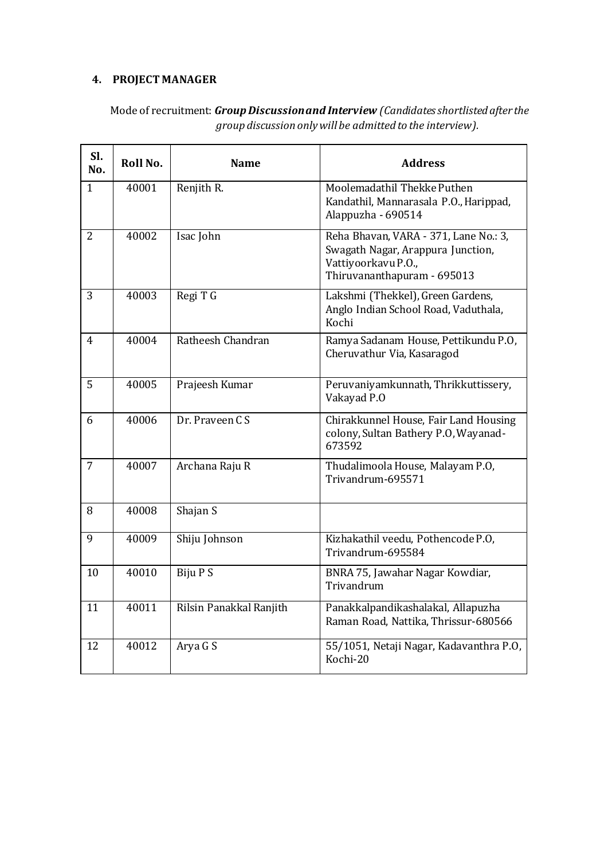### **4. PROJECT MANAGER**

| SI.<br>No.     | Roll No. | <b>Name</b>             | <b>Address</b>                                                                                                                   |
|----------------|----------|-------------------------|----------------------------------------------------------------------------------------------------------------------------------|
| $\mathbf{1}$   | 40001    | Renjith R.              | Moolemadathil Thekke Puthen<br>Kandathil, Mannarasala P.O., Harippad,<br>Alappuzha - 690514                                      |
| 2              | 40002    | Isac John               | Reha Bhavan, VARA - 371, Lane No.: 3,<br>Swagath Nagar, Arappura Junction,<br>Vattiyoorkavu P.O.,<br>Thiruvananthapuram - 695013 |
| 3              | 40003    | Regi T G                | Lakshmi (Thekkel), Green Gardens,<br>Anglo Indian School Road, Vaduthala,<br>Kochi                                               |
| 4              | 40004    | Ratheesh Chandran       | Ramya Sadanam House, Pettikundu P.O,<br>Cheruvathur Via, Kasaragod                                                               |
| 5              | 40005    | Prajeesh Kumar          | Peruvaniyamkunnath, Thrikkuttissery,<br>Vakayad P.O                                                                              |
| 6              | 40006    | Dr. Praveen CS          | Chirakkunnel House, Fair Land Housing<br>colony, Sultan Bathery P.O, Wayanad-<br>673592                                          |
| $\overline{7}$ | 40007    | Archana Raju R          | Thudalimoola House, Malayam P.O,<br>Trivandrum-695571                                                                            |
| 8              | 40008    | Shajan S                |                                                                                                                                  |
| 9              | 40009    | Shiju Johnson           | Kizhakathil veedu, Pothencode P.O,<br>Trivandrum-695584                                                                          |
| 10             | 40010    | Biju P S                | BNRA 75, Jawahar Nagar Kowdiar,<br>Trivandrum                                                                                    |
| 11             | 40011    | Rilsin Panakkal Ranjith | Panakkalpandikashalakal, Allapuzha<br>Raman Road, Nattika, Thrissur-680566                                                       |
| 12             | 40012    | Arya G S                | 55/1051, Netaji Nagar, Kadavanthra P.O,<br>Kochi-20                                                                              |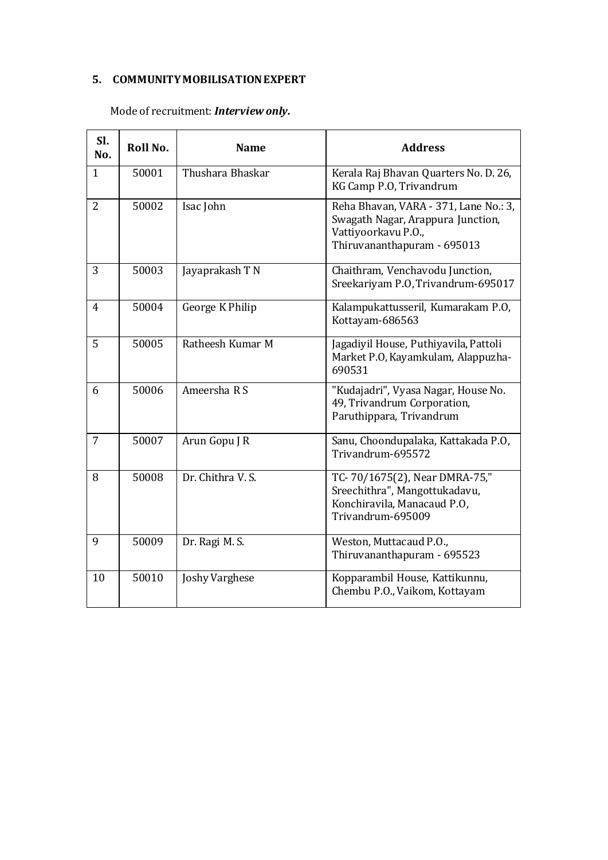#### **5. COMMUNITY MOBILISATION EXPERT**

## Mode of recruitment: *Interview only.*

| SI.<br>No.     | Roll No. | <b>Name</b>           | <b>Address</b>                                                                                                                   |
|----------------|----------|-----------------------|----------------------------------------------------------------------------------------------------------------------------------|
| $\mathbf{1}$   | 50001    | Thushara Bhaskar      | Kerala Raj Bhavan Quarters No. D. 26,<br>KG Camp P.O, Trivandrum                                                                 |
| $\overline{2}$ | 50002    | Isac John             | Reha Bhavan, VARA - 371, Lane No.: 3,<br>Swagath Nagar, Arappura Junction,<br>Vattiyoorkavu P.O.,<br>Thiruvananthapuram - 695013 |
| 3              | 50003    | Jayaprakash T N       | Chaithram, Venchavodu Junction,<br>Sreekariyam P.O, Trivandrum-695017                                                            |
| $\overline{4}$ | 50004    | George K Philip       | Kalampukattusseril, Kumarakam P.O,<br>Kottayam-686563                                                                            |
| 5              | 50005    | Ratheesh Kumar M      | Jagadiyil House, Puthiyavila, Pattoli<br>Market P.O, Kayamkulam, Alappuzha-<br>690531                                            |
| 6              | 50006    | Ameersha R S          | "Kudajadri", Vyasa Nagar, House No.<br>49, Trivandrum Corporation,<br>Paruthippara, Trivandrum                                   |
| $\overline{7}$ | 50007    | Arun Gopu J R         | Sanu, Choondupalaka, Kattakada P.O,<br>Trivandrum-695572                                                                         |
| 8              | 50008    | Dr. Chithra V. S.     | TC-70/1675(2), Near DMRA-75,"<br>Sreechithra", Mangottukadavu,<br>Konchiravila, Manacaud P.O,<br>Trivandrum-695009               |
| 9              | 50009    | Dr. Ragi M. S.        | Weston, Muttacaud P.O.,<br>Thiruvananthapuram - 695523                                                                           |
| 10             | 50010    | <b>Joshy Varghese</b> | Kopparambil House, Kattikunnu,<br>Chembu P.O., Vaikom, Kottayam                                                                  |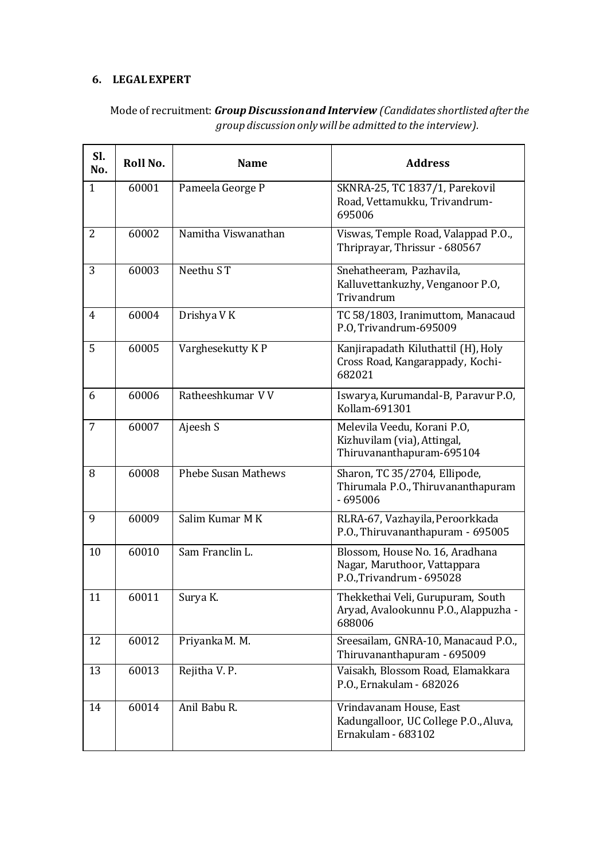### **6. LEGAL EXPERT**

| SI.<br>No.     | Roll No. | <b>Name</b>                | <b>Address</b>                                                                               |
|----------------|----------|----------------------------|----------------------------------------------------------------------------------------------|
| $\mathbf{1}$   | 60001    | Pameela George P           | SKNRA-25, TC 1837/1, Parekovil<br>Road, Vettamukku, Trivandrum-<br>695006                    |
| $\overline{2}$ | 60002    | Namitha Viswanathan        | Viswas, Temple Road, Valappad P.O.,<br>Thriprayar, Thrissur - 680567                         |
| 3              | 60003    | Neethu ST                  | Snehatheeram, Pazhavila,<br>Kalluvettankuzhy, Venganoor P.O,<br>Trivandrum                   |
| 4              | 60004    | Drishya V K                | TC 58/1803, Iranimuttom, Manacaud<br>P.O, Trivandrum-695009                                  |
| 5              | 60005    | Varghesekutty KP           | Kanjirapadath Kiluthattil (H), Holy<br>Cross Road, Kangarappady, Kochi-<br>682021            |
| 6              | 60006    | Ratheeshkumar VV           | Iswarya, Kurumandal-B, Paravur P.O,<br>Kollam-691301                                         |
| $\overline{7}$ | 60007    | Ajeesh S                   | Melevila Veedu, Korani P.O,<br>Kizhuvilam (via), Attingal,<br>Thiruvananthapuram-695104      |
| 8              | 60008    | <b>Phebe Susan Mathews</b> | Sharon, TC 35/2704, Ellipode,<br>Thirumala P.O., Thiruvananthapuram<br>$-695006$             |
| 9              | 60009    | Salim Kumar M K            | RLRA-67, Vazhayila, Peroorkkada<br>P.O., Thiruvananthapuram - 695005                         |
| 10             | 60010    | Sam Franclin L.            | Blossom, House No. 16, Aradhana<br>Nagar, Maruthoor, Vattappara<br>P.O., Trivandrum - 695028 |
| 11             | 60011    | Surya K.                   | Thekkethai Veli, Gurupuram, South<br>Aryad, Avalookunnu P.O., Alappuzha -<br>688006          |
| 12             | 60012    | Priyanka M. M.             | Sreesailam, GNRA-10, Manacaud P.O.,<br>Thiruvananthapuram - 695009                           |
| 13             | 60013    | Rejitha V. P.              | Vaisakh, Blossom Road, Elamakkara<br>P.O., Ernakulam - 682026                                |
| 14             | 60014    | Anil Babu R.               | Vrindavanam House, East<br>Kadungalloor, UC College P.O., Aluva,<br>Ernakulam - 683102       |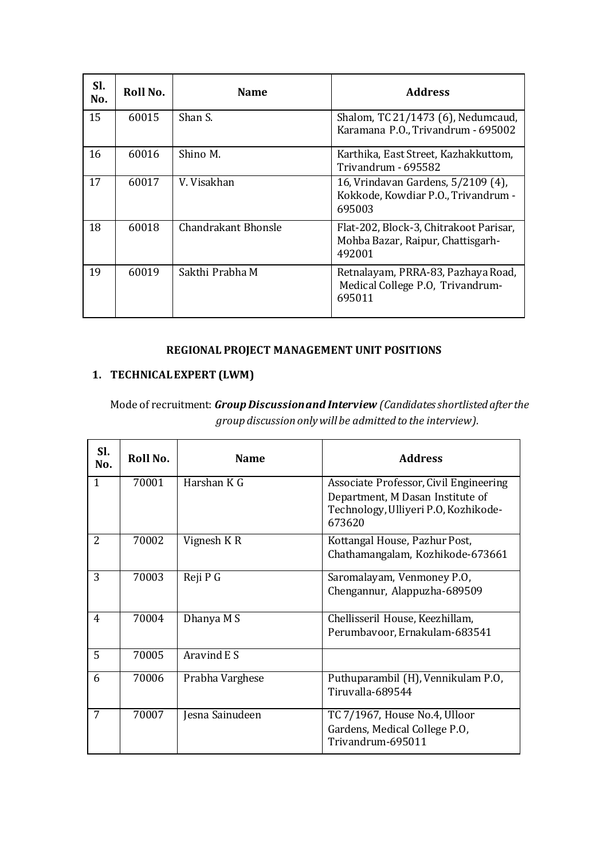| SI.<br>No. | Roll No. | <b>Name</b>         | <b>Address</b>                                                                        |
|------------|----------|---------------------|---------------------------------------------------------------------------------------|
| 15         | 60015    | Shan S.             | Shalom, TC 21/1473 (6), Nedumcaud,<br>Karamana P.O., Trivandrum - 695002              |
| 16         | 60016    | Shino M.            | Karthika, East Street, Kazhakkuttom,<br>Trivandrum - 695582                           |
| 17         | 60017    | V. Visakhan         | 16, Vrindavan Gardens, 5/2109 (4),<br>Kokkode, Kowdiar P.O., Trivandrum -<br>695003   |
| 18         | 60018    | Chandrakant Bhonsle | Flat-202, Block-3, Chitrakoot Parisar,<br>Mohba Bazar, Raipur, Chattisgarh-<br>492001 |
| 19         | 60019    | Sakthi Prabha M     | Retnalayam, PRRA-83, Pazhaya Road,<br>Medical College P.O, Trivandrum-<br>695011      |

### **REGIONAL PROJECT MANAGEMENT UNIT POSITIONS**

### **1. TECHNICAL EXPERT (LWM)**

| SI.<br>No.   | Roll No. | <b>Name</b>     | <b>Address</b>                                                                                                               |
|--------------|----------|-----------------|------------------------------------------------------------------------------------------------------------------------------|
| $\mathbf{1}$ | 70001    | Harshan K G     | Associate Professor, Civil Engineering<br>Department, M Dasan Institute of<br>Technology, Ulliyeri P.O, Kozhikode-<br>673620 |
| 2            | 70002    | Vignesh K R     | Kottangal House, Pazhur Post,<br>Chathamangalam, Kozhikode-673661                                                            |
| 3            | 70003    | Reji P G        | Saromalayam, Venmoney P.O.<br>Chengannur, Alappuzha-689509                                                                   |
| 4            | 70004    | Dhanya M S      | Chellisseril House, Keezhillam,<br>Perumbavoor, Ernakulam-683541                                                             |
| 5            | 70005    | Aravind E S     |                                                                                                                              |
| 6            | 70006    | Prabha Varghese | Puthuparambil (H), Vennikulam P.O,<br>Tiruvalla-689544                                                                       |
| 7            | 70007    | Jesna Sainudeen | TC 7/1967, House No.4, Ulloor<br>Gardens, Medical College P.O.<br>Trivandrum-695011                                          |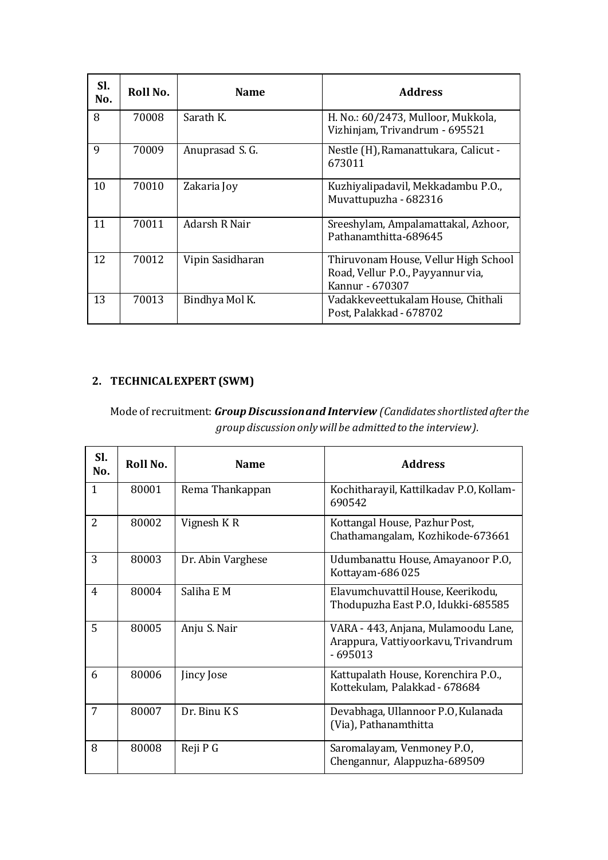| SI.<br>No. | Roll No. | <b>Name</b>      | <b>Address</b>                                                                               |
|------------|----------|------------------|----------------------------------------------------------------------------------------------|
| 8          | 70008    | Sarath K.        | H. No.: 60/2473, Mulloor, Mukkola,<br>Vizhinjam, Trivandrum - 695521                         |
| 9          | 70009    | Anuprasad S. G.  | Nestle (H), Ramanattukara, Calicut -<br>673011                                               |
| 10         | 70010    | Zakaria Joy      | Kuzhiyalipadavil, Mekkadambu P.O.,<br>Muvattupuzha - 682316                                  |
| 11         | 70011    | Adarsh R Nair    | Sreeshylam, Ampalamattakal, Azhoor,<br>Pathanamthitta-689645                                 |
| 12         | 70012    | Vipin Sasidharan | Thiruvonam House, Vellur High School<br>Road, Vellur P.O., Payyannur via,<br>Kannur - 670307 |
| 13         | 70013    | Bindhya Mol K.   | Vadakkeveettukalam House, Chithali<br>Post, Palakkad - 678702                                |

## **2. TECHNICAL EXPERT (SWM)**

| SI.<br>No.    | Roll No. | <b>Name</b>       | <b>Address</b>                                                                          |
|---------------|----------|-------------------|-----------------------------------------------------------------------------------------|
| $\mathbf{1}$  | 80001    | Rema Thankappan   | Kochitharayil, Kattilkadav P.O, Kollam-<br>690542                                       |
| $\mathcal{L}$ | 80002    | Vignesh KR        | Kottangal House, Pazhur Post,<br>Chathamangalam, Kozhikode-673661                       |
| 3             | 80003    | Dr. Abin Varghese | Udumbanattu House, Amayanoor P.O.<br>Kottayam-686025                                    |
| 4             | 80004    | Saliha E M        | Elavumchuvattil House, Keerikodu,<br>Thodupuzha East P.O, Idukki-685585                 |
| 5             | 80005    | Anju S. Nair      | VARA - 443, Anjana, Mulamoodu Lane,<br>Arappura, Vattiyoorkavu, Trivandrum<br>$-695013$ |
| 6             | 80006    | Jincy Jose        | Kattupalath House, Korenchira P.O.,<br>Kottekulam, Palakkad - 678684                    |
| 7             | 80007    | Dr. Binu KS       | Devabhaga, Ullannoor P.O, Kulanada<br>(Via), Pathanamthitta                             |
| 8             | 80008    | Reji P G          | Saromalayam, Venmoney P.O,<br>Chengannur, Alappuzha-689509                              |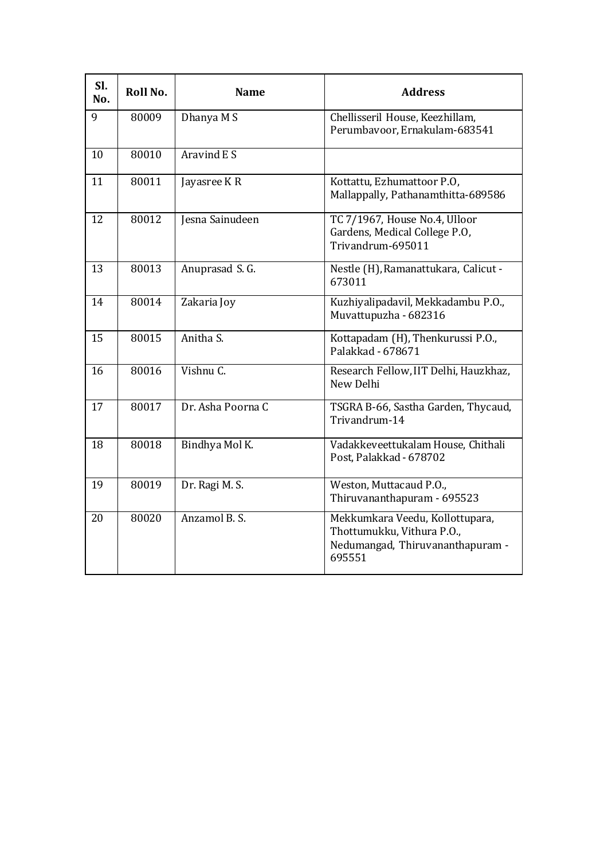| Sl.<br>No. | Roll No. | <b>Name</b>       | <b>Address</b>                                                                                              |
|------------|----------|-------------------|-------------------------------------------------------------------------------------------------------------|
| 9          | 80009    | Dhanya M S        | Chellisseril House, Keezhillam,<br>Perumbavoor, Ernakulam-683541                                            |
| 10         | 80010    | Aravind E S       |                                                                                                             |
| 11         | 80011    | Jayasree K R      | Kottattu, Ezhumattoor P.O,<br>Mallappally, Pathanamthitta-689586                                            |
| 12         | 80012    | Jesna Sainudeen   | TC 7/1967, House No.4, Ulloor<br>Gardens, Medical College P.O,<br>Trivandrum-695011                         |
| 13         | 80013    | Anuprasad S. G.   | Nestle (H), Ramanattukara, Calicut -<br>673011                                                              |
| 14         | 80014    | Zakaria Joy       | Kuzhiyalipadavil, Mekkadambu P.O.,<br>Muvattupuzha - 682316                                                 |
| 15         | 80015    | Anitha S.         | Kottapadam (H), Thenkurussi P.O.,<br>Palakkad - 678671                                                      |
| 16         | 80016    | Vishnu C.         | Research Fellow, IIT Delhi, Hauzkhaz,<br>New Delhi                                                          |
| 17         | 80017    | Dr. Asha Poorna C | TSGRA B-66, Sastha Garden, Thycaud,<br>Trivandrum-14                                                        |
| 18         | 80018    | Bindhya Mol K.    | Vadakkeveettukalam House, Chithali<br>Post, Palakkad - 678702                                               |
| 19         | 80019    | Dr. Ragi M. S.    | Weston, Muttacaud P.O.,<br>Thiruvananthapuram - 695523                                                      |
| 20         | 80020    | Anzamol B. S.     | Mekkumkara Veedu, Kollottupara,<br>Thottumukku, Vithura P.O.,<br>Nedumangad, Thiruvananthapuram -<br>695551 |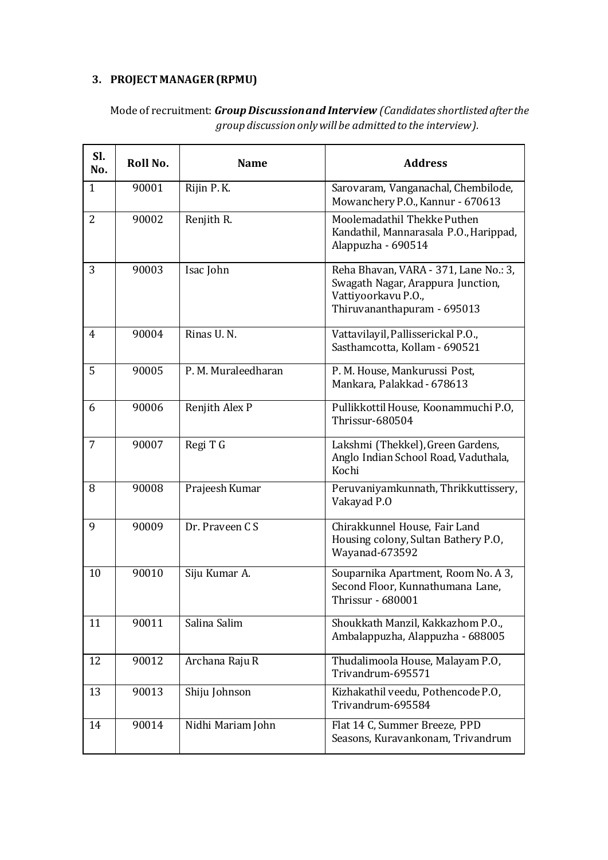## **3. PROJECT MANAGER (RPMU)**

| SI.<br>No.     | Roll No. | <b>Name</b>         | <b>Address</b>                                                                                                                   |
|----------------|----------|---------------------|----------------------------------------------------------------------------------------------------------------------------------|
| $\mathbf{1}$   | 90001    | Rijin P.K.          | Sarovaram, Vanganachal, Chembilode,<br>Mowanchery P.O., Kannur - 670613                                                          |
| $\overline{2}$ | 90002    | Renjith R.          | Moolemadathil Thekke Puthen<br>Kandathil, Mannarasala P.O., Harippad,<br>Alappuzha - 690514                                      |
| 3              | 90003    | Isac John           | Reha Bhavan, VARA - 371, Lane No.: 3,<br>Swagath Nagar, Arappura Junction,<br>Vattiyoorkavu P.O.,<br>Thiruvananthapuram - 695013 |
| 4              | 90004    | Rinas U.N.          | Vattavilayil, Pallisserickal P.O.,<br>Sasthamcotta, Kollam - 690521                                                              |
| 5              | 90005    | P. M. Muraleedharan | P. M. House, Mankurussi Post,<br>Mankara, Palakkad - 678613                                                                      |
| 6              | 90006    | Renjith Alex P      | Pullikkottil House, Koonammuchi P.O,<br>Thrissur-680504                                                                          |
| $\overline{7}$ | 90007    | Regi T G            | Lakshmi (Thekkel), Green Gardens,<br>Anglo Indian School Road, Vaduthala,<br>Kochi                                               |
| 8              | 90008    | Prajeesh Kumar      | Peruvaniyamkunnath, Thrikkuttissery,<br>Vakayad P.O                                                                              |
| 9              | 90009    | Dr. Praveen CS      | Chirakkunnel House, Fair Land<br>Housing colony, Sultan Bathery P.O,<br>Wayanad-673592                                           |
| 10             | 90010    | Siju Kumar A.       | Souparnika Apartment, Room No. A 3,<br>Second Floor, Kunnathumana Lane,<br>Thrissur - 680001                                     |
| 11             | 90011    | Salina Salim        | Shoukkath Manzil, Kakkazhom P.O.,<br>Ambalappuzha, Alappuzha - 688005                                                            |
| 12             | 90012    | Archana Raju R      | Thudalimoola House, Malayam P.O,<br>Trivandrum-695571                                                                            |
| 13             | 90013    | Shiju Johnson       | Kizhakathil veedu, Pothencode P.O,<br>Trivandrum-695584                                                                          |
| 14             | 90014    | Nidhi Mariam John   | Flat 14 C, Summer Breeze, PPD<br>Seasons, Kuravankonam, Trivandrum                                                               |